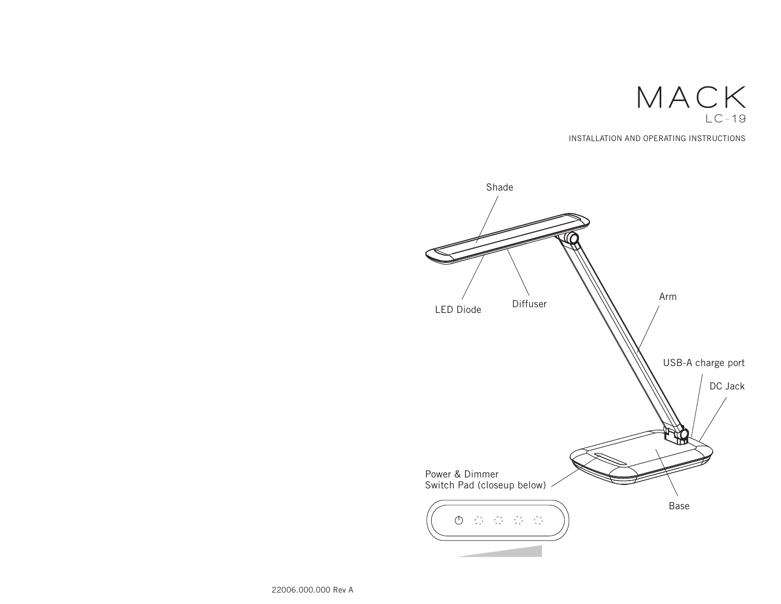

INSTALLATION AND OPERATING INSTRUCTIONS



22006.000.000 Rev A